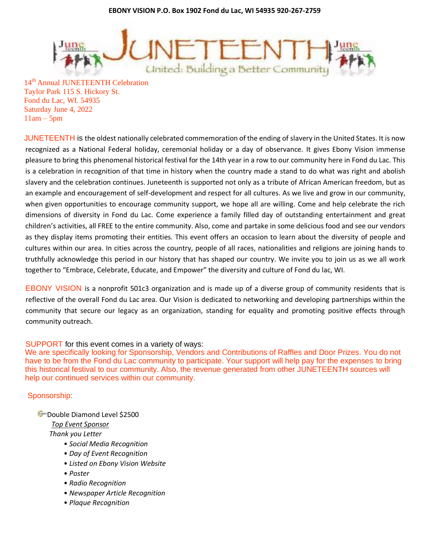**EBONY VISION P.O. Box 1902 Fond du Lac, WI 54935 920-267-2759**



14<sup>th</sup> Annual JUNETEENTH Celebration Taylor Park 115 S. Hickory St. Fond du Lac, WI. 54935 Saturday June 4, 2022  $11am - 5pm$ 

JUNETEENTH is the oldest nationally celebrated commemoration of the ending of slavery in the United States. It is now recognized as a National Federal holiday, ceremonial holiday or a day of observance. It gives Ebony Vision immense pleasure to bring this phenomenal historical festival for the 14th year in a row to our community here in Fond du Lac. This is a celebration in recognition of that time in history when the country made a stand to do what was right and abolish slavery and the celebration continues. Juneteenth is supported not only as a tribute of African American freedom, but as an example and encouragement of self-development and respect for all cultures. As we live and grow in our community, when given opportunities to encourage community support, we hope all are willing. Come and help celebrate the rich dimensions of diversity in Fond du Lac. Come experience a family filled day of outstanding entertainment and great children's activities, all FREE to the entire community. Also, come and partake in some delicious food and see our vendors as they display items promoting their entities. This event offers an occasion to learn about the diversity of people and cultures within our area. In cities across the country, people of all races, nationalities and religions are joining hands to truthfully acknowledge this period in our history that has shaped our country. We invite you to join us as we all work together to "Embrace, Celebrate, Educate, and Empower" the diversity and culture of Fond du lac, WI.

EBONY VISION is a nonprofit 501c3 organization and is made up of a diverse group of community residents that is reflective of the overall Fond du Lac area. Our Vision is dedicated to networking and developing partnerships within the community that secure our legacy as an organization, standing for equality and promoting positive effects through community outreach.

# SUPPORT for this event comes in a variety of ways:

We are specifically looking for Sponsorship, Vendors and Contributions of Raffles and Door Prizes. You do not have to be from the Fond du Lac community to participate. Your support will help pay for the expenses to bring this historical festival to our community. Also, the revenue generated from other JUNETEENTH sources will help our continued services within our community.

# Sponsorship:

**D**ouble Diamond Level \$2500 *Top Event Sponsor Thank you Letter* 

- *Social Media Recognition*
- *Day of Event Recognition*
- *Listed on Ebony Vision Website*
- *Poster*
- *Radio Recognition*
- *Newspaper Article Recognition*
- *Plaque Recognition*